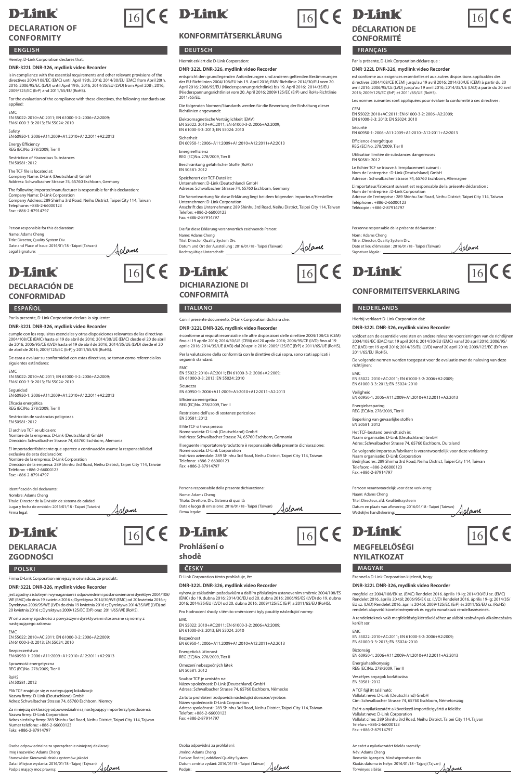## **D-Link**

### **DECLARATION OF CONFORMITY**

#### **ENGLISH**

### Hereby, D-Link Corporation declares that:

**DNR-322L DNR-326, mydlink video Recorder** is in compliance with the essential requirements and other relevant provisions of the<br>directives 2004/108/EC (EMC) until April 19th, 2016; 2014/30/EU (EMC) from April 20th,<br>2016; 2006/95/EC (LVD) until April 19th, 2016; 20

For the evaluation of the compliance with these directives, the following standards are applied:

EMC EN 55022: 2010+AC:2011; EN 61000-3-2: 2006+A2:2009; EN 61000-3-3: 2013; EN 55024: 2010

Safety EN 60950-1: 2006+A11:2009+A1:2010+A12:2011+A2:2013

Energy Efficiency REG (EC)No. 278/2009, Tier II

Restriction of Hazardous Substances EN 50581: 2012

The TCF file is located at: Company Name: D-Link (Deutschland) GmbH Address: Schwalbacher Strasse 74, 65760 Eschborn, Germany The following importer/manufacturer is responsible for this declaration:

Company Name: D-Link Corporation Company Address: 289 Shinhu 3rd Road, Neihu District, Taipei City 114, Taiwan Telephone: +886-2-66000123 Fax: +886-2-87914797

Islame

Person responsible for this declaration: Name: Adams Cheng Title: Director, Quality System Div. Date and Place of Issue: 2016/01/18 - Taipei (Taiwan) Legal Signature:

## **D-Link**

#### **DECLARACIÓN DE CONFORMIDAD**

Por la presente, D-Link Corporation declara lo siguiente:

#### **DNR-322L DNR-326, mydlink video Recorder**

cumple con los requisitos esenciales y otras disposiciones relevantes de las directivas 2004/108/CE (EMC) hasta el 19 de abril de 2016; 2014/30/UE (EMC) desde el 20 de abril de 2016; 2006/95/CE (LVD) hasta el 19 de abril de 2016; 2014/35/UE (LVD) desde el 20 de abril de 2016; 2009/125/EC (ErP) y 2011/65/UE (RoHS).

De cara a evaluar su conformidad con estas directivas, se toman como referencia los siguientes estándares:

EMC EN 55022: 2010+AC:2011; EN 61000-3-2: 2006+A2:2009; EN 61000-3-3: 2013; EN 55024: 2010

Seguridad EN 60950-1: 2006+A11:2009+A1:2010+A12:2011+A2:2013

Eficacia energética REG (EC)No. 278/2009, Tier II

Restricción de sustancias peligrosas EN 50581: 2012

El archivo TCF se ubica en:

Nombre de la empresa: D-Link (Deutschland) GmbH Dirección: Schwalbacher Strasse 74, 65760 Eschborn, Alemania El importador/fabricante que aparece a continuación asume la responsabilidad

exclusiva de esta declaración: Nombre de la empresa: D-Link Corporation Dirección de la empresa: 289 Shinhu 3rd Road, Neihu District, Taipei City 114, Taiwán Teléfono: +886-2-66000123 Fax: +886-2-87014707

Aclame

Identificación del declarante: Nombre: Adams Cheng Título: Director de la División de sistema de calidad Lugar y fecha de emisión: 2016/01/18 - Taipei (Taiwán) Firma legal:

### **D-Link DEKLARACJA**

### **ZGODNOŚCI**

Firma D-Link Corporation niniejszym oświadcza, że produkt:

#### **DNR-322L DNR-326, mydlink video Recorder**

jest zgodny z istotnymi wymaganiami i odpowiednimi postanowieniami dyrektyw 2004/108/<br>WE (EMC) do dnia 19 kwietnia 2016 r.; Dyrektywa 2014/30/WE (EMC) od 20 kwietnia 2016 r.;<br>Dyrektywa 2006/95/WE (LVD) do dnia 19 kwietnia

W celu oceny zgodności z powyższymi dyrektywami stosowane są normy z następującego zakresu:

EMC EN 55022: 2010+AC:2011; EN 61000-3-2: 2006+A2:2009; EN 61000-3-3: 2013; EN 55024: 2010

Bezpieczeństwo EN 60950-1: 2006+A11:2009+A1:2010+A12:2011+A2:2013

Sprawność energetyczna REG (EC)No. 278/2009, Tier II RoHS EN 50581: 2012

Plik TCF znajduje się w następującej lokalizacji: Nazwa firmy: D-Link (Deutschland) GmbH Adres: Schwalbacher Strasse 74, 65760 Eschborn, Niemcy

Za niniejszą deklarację odpowiedzialni są następujący importerzy/producenci:<br>Nazwa firmy: D-Link Corporation<br>Adres siedziby firmy: 289 Shinhu 3rd Road, Neihu District, Taipei City 114, Tajwan<br>Numer telefonu: +886-2-6600012

Ina za sporządzenie niniejszej d Imię i nazwisko: Adams Cheng Stanowisko: Kierownik działu systemów jakości Data i Miejsce wydania: 2016/01/18 - Tajpej (Tajwan) Podpis mający moc prawną: <u>Adame</u>

# $\sqrt{16}$  ( E D-Link  $\sqrt{16}$  ( E D-Link  $\sqrt{16}$  C E

### **KONFORMITÄTSERKLÄRUNG**

## Hiermit erklärt die D-Link Corporation: **DNR-322L DNR-326, mydlink video Recorder**

entspricht den grundlegenden Anforderungen und anderen geltenden Bestimmungen<br>der EU-Richtlinien 2004/108/EU bis 19. April 2016; EMV-Richtlinie 2014/30/EU vom 20.<br>April 2016; 2006/95/EU (Niederspannungsrichtlinie) bis 19. 2011/65/EU.

Die folgenden Normen/Standards werden für die Bewertung der Einhaltung dieser Richtlinien angewandt:

Elektromagnetische Verträglichkeit (EMV) EN 55022: 2010+AC:2011; EN 61000-3-2: 2006+A2:2009; EN 61000-3-3: 2013; EN 55024: 2010 Sicherheit EN 60950-1: 2006+A11:2009+A1:2010+A12:2011+A2:2013

Energieeffizienz REG (EC)No. 278/2009, Tier II

Beschränkung gefährlicher Stoffe (RoHS) EN 50581: 2012

Speicherort der TCF-Datei ist:

Unternehmen: D-Link (Deutschland) GmbH

Adresse: Schwalbacher Strasse 74, 65760 Eschborn, Germany

Die Verantwortung für diese Erklärung liegt bei dem folgenden Importeur/Hersteller: Unternehmen: D-Link Corporation Anschrift des Unternehmens: 289 Shinhu 3rd Road, Neihu District, Taipei City 114, Taiwan Telefon: +886-2-66000123 Fax: +886-2-87914797

Die für diese Erklärung verantwortlich zeichnende Person: Name: Adams Cheng Titel: Adams Crieng<br>Titel: Director, Quality System Div.

Jalame Datum und Ort der Ausstellung : 2016/01/18 - Taipei (Taiwan) Rechtsgültige Unterschrift:

#### **DICHIARAZIONE DI CONFORMITÀ**  $\overline{16}$  (  $\in$  D-Link  $\overline{16}$  (  $\in$  D-Link  $\overline{16}$  (  $\in$



**ESPAÑOL ITALIANO NEDERLANDS**

Con il presente documento, D-Link Corporation dichiara che:

#### **DNR-322L DNR-326, mydlink video Recorder**

è conforme ai requisiti essenziali e alle altre disposizioni delle direttive 2004/108/CE (CEM)<br>fino al 19 aprile 2016; 2014/30/UE (CEM) dal 20 aprile 2016; 2006/95/CE (LVD) fino al 19<br>aprile 2016; 2014/35/UE (LVD) dal 20 a Per la valutazione della conformità con le direttive di cui sopra, sono stati applicati i seguenti standard:

EMC EN 55022: 2010+AC:2011; EN 61000-3-2: 2006+A2:2009; EN 61000-3-3: 2013; EN 55024: 2010

Sicurezza EN 60950-1: 2006+A11:2009+A1:2010+A12:2011+A2:2013

Efficienza energetica REG (EC)No. 278/2009, Tier II

Restrizione dell'uso di sostanze pericolose EN 50581: 2012

Il file TCF si trova presso: Nome società: D-Link (Deutschland) GmbH Indirizzo: Schwalbacher Strasse 74, 65760 Eschborn, Germania

Il seguente importatore/produttore è responsabile della presente dichiarazione:

Nome società: D-Link Corporation Indirizzo aziendale: 289 Shinhu 3rd Road, Neihu District, Taipei City 114, Taiwan Telefono: +886-2-66000123 Fax: +886-2-87914797

Persona responsabile della presente dichiarazione: Nome: Adams Cheng Titolo: Direttore, Div. Sistema di qualità Data e luogo di emissione: 2016/01/18 - Taipei (Taiwan) Firma legale: Aclame

 $\overline{16}$  C  $\in$  D-Link  $\overline{16}$  C  $\in$  D-Link  $\overline{16}$  C  $\in$ 

**Prohlášení o** 

**shodě**

#### **POLSKI ČESKY MAGYAR** D-Link Corporation tímto prohlašuje, že:

#### **DNR-322L DNR-326, mydlink video Recorder**

vyhovuje základním požadavkům a dalším příslušným ustanovením směrnic 2004/108/ES<br>(EMC) do 19. dubna 2016; 2014/30/EU od 20. dubna 2016; 2006/95/ES (LVD) do 19. dubna<br>2016; 2014/35/EU (LVD) od 20. dubna 2016; 2009/125/EC ( Pro hodnocení shody s těmito směrnicemi byly použity následující normy:

EMC EN 55022: 2010+AC:2011; EN 61000-3-2: 2006+A2:2009; EN 61000-3-3: 2013; EN 55024: 2010 Bezpečnost EN 60950-1: 2006+A11:2009+A1:2010+A12:2011+A2:2013 Energetická účinnost REG (EC)No. 278/2009, Tier II zení nebezpečných láte<mark>k</mark> EN 50581: 2012 Soubor TCF je umístěn na: Název společnosti: D-Link (Deutschland) GmbH Adresa: Schwalbacher Strasse 74, 65760 Eschborn, Německo Za toto prohlášení zodpovídá následující dovozce/výrobce: Název společnosti: D-Link Corporation Adresa společnosti: 289 Shinhu 3rd Road, Neihu District, Taipei City 114, Taiwan

Telefon: +886-2-66000123 Fax: +886-2-87914797

Osoba odpovědná za prohlášení: Jméno: Adams Cheng<br>Funkce: Ředitel, oddělení Quality System Funkce: Ředitel, oddělení Quality System Datum a místo vydání: 2016/01/18 - Taipei (Taiwan) Podpis:

## **DÉCLARATION DE**

### **CONFORMITÉ**

#### **DEUTSCH FRANÇAIS**

#### Par la présente, D-Link Corporation déclare que :

**DNR-322L DNR-326, mydlink video Recorder** est conforme aux exigences essentielles et aux autres dispositions applicables des<br>directives 2004/108/CE (CEM) jusqu'au 19 avril 2016; 2014/30/UE (CEM) à partir du 20<br>avril 2016; 2006/95/CE (LVD) jusqu'au 19 avril 2016; 2

Les normes suivantes sont appliquées pour évaluer la conformité à ces directives : CEM

EN 55022: 2010+AC:2011; EN 61000-3-2: 2006+A2:2009; EN 61000-3-3: 2013; EN 55024: 2010

Sécurité EN 60950-1: 2006+A11:2009+A1:2010+A12:2011+A2:2013

Efficience énergétique REG (EC)No. 278/2009, Tier II

Utilisation limitée de substances dangereuses EN 50581: 2012 Le fichier TCF se trouve à l'emplacement suivant :

Nom de l'entreprise : D-Link (Deutschland) GmbH Adresse : Schwalbacher Strasse 74, 65760 Eschborn, Allemagne

L'importateur/Tabricant suivant est responsable de la présente déclaration :<br>Nom de l'entreprise : D-Link Corporation<br>Adresse de l'entreprise : 289 Shinhu 3rd Road, Neihu District, Taipei City 114, Taïwar<br>Téléchone : +886-

Aclame

<u>Jalame</u>

voldoet aan de essentiële vereisten en andere relevante voorzieningen van de richtlijnen<br>2004/108/EC (EMC) tot 19 april 2016; 2014/30/EU (EMC) vanaf 20 april 2016; 2006/95/<br>EC (LVD) tot 19 april 2016; 2014/35/EU (LVD) vana

De volgende normen worden toegepast voor de evaluatie over de naleving van deze

Personne responsable de la présente déclaration : Nom : Adams Cheng

Hierbij verklaart D-Link Corporation dat: **DNR-322L DNR-326, mydlink video Recorder**

EN 55022: 2010+AC:2011; EN 61000-3-2: 2006+A2:2009; EN 61000-3-3: 2013; EN 55024: 2010

Veiligheid EN 60950-1: 2006+A11:2009+A1:2010+A12:2011+A2:2013

Naam organisatie: D-Link (Deutschland) GmbH Adres: Schwalbacher Strasse 74, 65760 Eschborn, Duitsland De volgende importeur/fabrikant is verantwoordelijk voor deze verklaring: Naam organisatie: D-Link Corporation Bedrijfsadres: 289 Shinhu 3rd Road, Neihu District, Taipei City 114, Taiwan

2011/65/EU (RoHS).

Energiebesparing REG (EC)No. 278/2009, Tier II Beperking van gevaarlijke stoffen EN 50581: 2012 Het TCF-bestand bevindt zich in:

Telefoon: +886-2-66000123 Fax: +886-2-87914797

m: Adams Cheng Titel: Directeur, afd. Kwaliteitssysteem

richtlii EMC

Persoon verantwoordelijk voor deze verklaring:

Datum en plaats van aflevering: 2016/01/18 - Taipei (Taiwan) Wettelijke handtekening:

**MEGFELELŐSÉGI NYILATKOZAT**

került sor:

Ezennel a D-Link Corporation kijelenti, hogy: **DNR-322L DNR-326, mydlink video Recorder**

EMC EN 55022: 2010+AC:2011; EN 61000-3-2: 2006+A2:2009; EN 61000-3-3: 2013; EN 55024: 2010

Biztonság EN 60950-1: 2006+A11:2009+A1:2010+A12:2011+A2:2013

Vállalat neve: D-Link (Deutschland) GmbH Cím: Schwalbacher Strasse 74, 65760 Eschborn, Németország Ezért a nyilatkozatért a következő importőr/gyártó a felelős: Vállalat neve: D-Link Corporation<br>Vállalat címe: 289 Shinhu 3rd Road, Neihu District, Taipei City 114, Tajvar<br>Telefon: +886-2-86000123<br>Fax: +886-2-87914797

megfelel az 2004/108/EK sz. (EMC) Rendelet 2016. április 19-ig; 2014/30/EU sz. (EMC) Rendelet 2016. április 20-tól; 2006/95/EK sz. (LVD) Rendelet 2016. április 19-ig; 2014/35.<br>EU sz. (LVD) Rendelet 2016. április 20-tól; 2009/125/EC (ErP) és 2011/65/EU sz. (RoHS)<br>rendelet alapvető követelményeinek és egyéb A rendeleteknek való megfelelőség kiértékeléséhez az alábbi szabványok alkalmazására

Az ezért a nyilatkozatért felelős személy:

Név: Adams Cheng Beosztás: Igazgató, Minőségrendszer div. Kiadás dátuma és helye: 2016/01/18 - Tajpej (Tajvan) Törvényes aláírás:

Energiahatékonyság REG (EC)No. 278/2009, Tier II Veszélyes anyagok korlátozása EN 50581: 2012 A TCF fájl itt található:

Titre : Director, Quality System Div. Date et lieu d'émission : 2016/01/18 - Taipei (Taïwan) Signature légale :

**CONFORMITEITSVERKLARING**